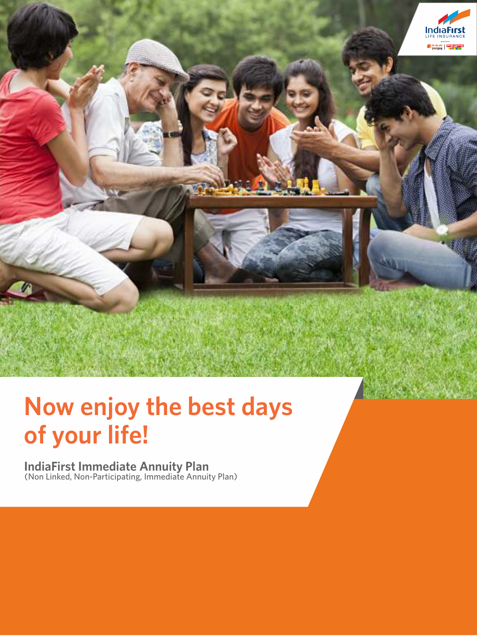

# **Now enjoy the best days of your life!**

**IndiaFirst Immediate Annuity Plan** (Non Linked, Non-Participating, Immediate Annuity Plan)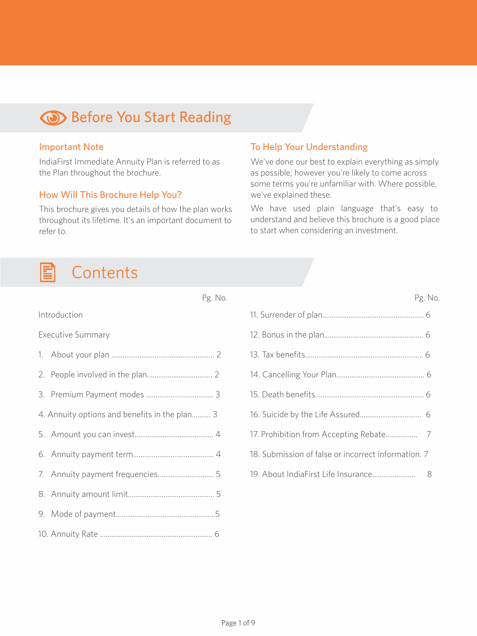# **Before You Start Reading**

#### Important Note

IndiaFirst Immediate Annuity Plan is referred to as the Plan throughout the brochure.

#### How Will This Brochure Help You?

This brochure gives you details of how the plan works throughout its lifetime. It's an important document to refer to.

#### **Contents** E

|                                               | Pg. No. | Pg. N                                               |  |
|-----------------------------------------------|---------|-----------------------------------------------------|--|
| Introduction                                  |         |                                                     |  |
| <b>Executive Summary</b>                      |         |                                                     |  |
|                                               |         |                                                     |  |
|                                               |         |                                                     |  |
|                                               |         |                                                     |  |
| 4. Annuity options and benefits in the plan 3 |         |                                                     |  |
|                                               |         |                                                     |  |
|                                               |         | 18. Submission of false or incorrect information. 7 |  |
|                                               |         |                                                     |  |
|                                               |         |                                                     |  |
|                                               |         |                                                     |  |
|                                               |         |                                                     |  |

To Help Your Understanding

we've explained these.

We've done our best to explain everything as simply as possible; however you're likely to come across some terms you're unfamiliar with. Where possible,

We have used plain language that's easy to understand and believe this brochure is a good place

to start when considering an investment.

Pg. No.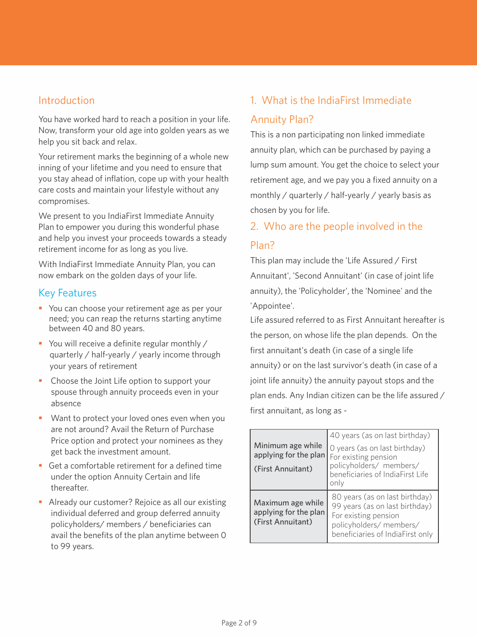#### Introduction

You have worked hard to reach a position in your life. Now, transform your old age into golden years as we help you sit back and relax.

Your retirement marks the beginning of a whole new inning of your lifetime and you need to ensure that you stay ahead of inflation, cope up with your health care costs and maintain your lifestyle without any compromises.

We present to you IndiaFirst Immediate Annuity Plan to empower you during this wonderful phase and help you invest your proceeds towards a steady retirement income for as long as you live.

With IndiaFirst Immediate Annuity Plan, you can now embark on the golden days of your life.

#### Key Features

- You can choose your retirement age as per your need; you can reap the returns starting anytime between 40 and 80 years.
- You will receive a definite regular monthly / quarterly / half-yearly / yearly income through your years of retirement
- Choose the Joint Life option to support your spouse through annuity proceeds even in your absence
- § Want to protect your loved ones even when you are not around? Avail the Return of Purchase Price option and protect your nominees as they get back the investment amount.
- Get a comfortable retirement for a defined time under the option Annuity Certain and life thereafter.
- Already our customer? Rejoice as all our existing individual deferred and group deferred annuity policyholders/ members / beneficiaries can avail the benefits of the plan anytime between 0 to 99 years.

# 1. What is the IndiaFirst Immediate Annuity Plan?

This is a non participating non linked immediate annuity plan, which can be purchased by paying a lump sum amount. You get the choice to select your retirement age, and we pay you a fixed annuity on a monthly / quarterly / half-yearly / yearly basis as chosen by you for life.

# 2. Who are the people involved in the Plan?

This plan may include the 'Life Assured / First Annuitant', 'Second Annuitant' (in case of joint life annuity), the 'Policyholder', the 'Nominee' and the 'Appointee'.

Life assured referred to as First Annuitant hereafter is the person, on whose life the plan depends. On the first annuitant's death (in case of a single life annuity) or on the last survivor's death (in case of a joint life annuity) the annuity payout stops and the plan ends. Any Indian citizen can be the life assured / first annuitant, as long as -

| Minimum age while<br>applying for the plan<br>(First Annuitant) | 40 years (as on last birthday)<br>O years (as on last birthday)<br>For existing pension<br>policyholders/ members/<br>beneficiaries of IndiaFirst Life<br>only |
|-----------------------------------------------------------------|----------------------------------------------------------------------------------------------------------------------------------------------------------------|
| Maximum age while<br>applying for the plan<br>(First Annuitant) | 80 years (as on last birthday)<br>99 years (as on last birthday)<br>For existing pension<br>policyholders/ members/<br>beneficiaries of IndiaFirst only        |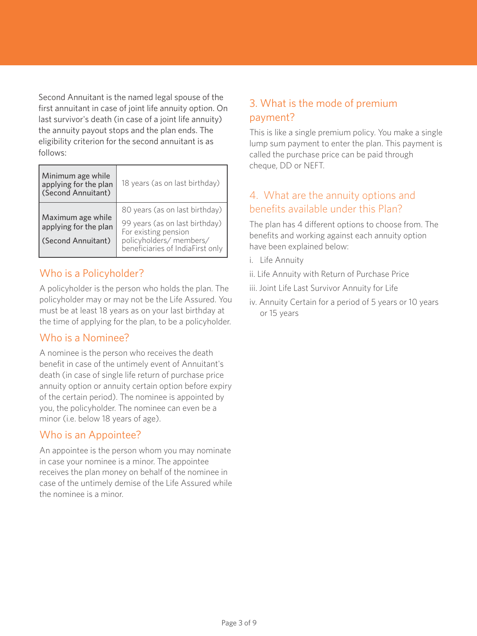Second Annuitant is the named legal spouse of the first annuitant in case of joint life annuity option. On last survivor's death (in case of a joint life annuity) the annuity payout stops and the plan ends. The eligibility criterion for the second annuitant is as follows:

| Minimum age while<br>applying for the plan<br>(Second Annuitant) | 18 years (as on last birthday)                                                                                                                          |  |  |
|------------------------------------------------------------------|---------------------------------------------------------------------------------------------------------------------------------------------------------|--|--|
| Maximum age while<br>applying for the plan<br>(Second Annuitant) | 80 years (as on last birthday)<br>99 years (as on last birthday)<br>For existing pension<br>policyholders/ members/<br>beneficiaries of IndiaFirst only |  |  |

#### Who is a Policyholder?

A policyholder is the person who holds the plan. The policyholder may or may not be the Life Assured. You must be at least 18 years as on your last birthday at the time of applying for the plan, to be a policyholder.

#### Who is a Nominee?

A nominee is the person who receives the death benefit in case of the untimely event of Annuitant's death (in case of single life return of purchase price annuity option or annuity certain option before expiry of the certain period). The nominee is appointed by you, the policyholder. The nominee can even be a minor (i.e. below 18 years of age).

#### Who is an Appointee?

An appointee is the person whom you may nominate in case your nominee is a minor. The appointee receives the plan money on behalf of the nominee in case of the untimely demise of the Life Assured while the nominee is a minor.

# 3. What is the mode of premium payment?

This is like a single premium policy. You make a single lump sum payment to enter the plan. This payment is called the purchase price can be paid through cheque, DD or NEFT.

## 4. What are the annuity options and benefits available under this Plan?

The plan has 4 different options to choose from. The benefits and working against each annuity option have been explained below:

- i. Life Annuity
- ii. Life Annuity with Return of Purchase Price
- iii. Joint Life Last Survivor Annuity for Life
- iv. Annuity Certain for a period of 5 years or 10 years or 15 years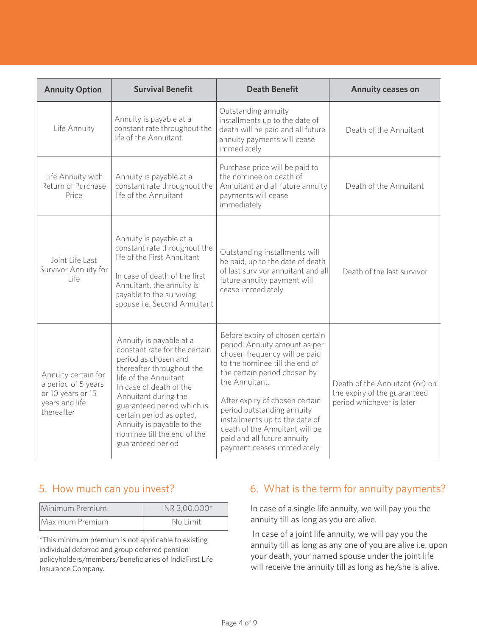| <b>Annuity Option</b>                                                                           | <b>Survival Benefit</b>                                                                                                                                                                                                                                                                                                              | <b>Death Benefit</b>                                                                                                                                                                                                                                                                                                                                                                   | Annuity ceases on                                                                           |  |
|-------------------------------------------------------------------------------------------------|--------------------------------------------------------------------------------------------------------------------------------------------------------------------------------------------------------------------------------------------------------------------------------------------------------------------------------------|----------------------------------------------------------------------------------------------------------------------------------------------------------------------------------------------------------------------------------------------------------------------------------------------------------------------------------------------------------------------------------------|---------------------------------------------------------------------------------------------|--|
| Life Annuity                                                                                    | Annuity is payable at a<br>constant rate throughout the<br>life of the Annuitant                                                                                                                                                                                                                                                     | Outstanding annuity<br>installments up to the date of<br>death will be paid and all future<br>annuity payments will cease<br>immediately                                                                                                                                                                                                                                               | Death of the Annuitant                                                                      |  |
| Life Annuity with<br>Return of Purchase<br>Price                                                | Annuity is payable at a<br>constant rate throughout the<br>life of the Annuitant                                                                                                                                                                                                                                                     | Purchase price will be paid to<br>the nominee on death of<br>Annuitant and all future annuity<br>payments will cease<br>immediately                                                                                                                                                                                                                                                    | Death of the Annuitant                                                                      |  |
| loint Life Last<br>Survivor Annuity for<br>l ife                                                | Annuity is payable at a<br>constant rate throughout the<br>life of the First Annuitant<br>In case of death of the first<br>Annuitant, the annuity is<br>payable to the surviving<br>spouse i.e. Second Annuitant                                                                                                                     | Outstanding installments will<br>be paid, up to the date of death<br>of last survivor annuitant and all<br>future annuity payment will<br>cease immediately                                                                                                                                                                                                                            | Death of the last survivor                                                                  |  |
| Annuity certain for<br>a period of 5 years<br>or 10 years or 15<br>years and life<br>thereafter | Annuity is payable at a<br>constant rate for the certain<br>period as chosen and<br>thereafter throughout the<br>life of the Annuitant<br>In case of death of the<br>Annuitant during the<br>guaranteed period which is<br>certain period as opted,<br>Annuity is payable to the<br>nominee till the end of the<br>guaranteed period | Before expiry of chosen certain<br>period: Annuity amount as per<br>chosen frequency will be paid<br>to the nominee till the end of<br>the certain period chosen by<br>the Annuitant.<br>After expiry of chosen certain<br>period outstanding annuity<br>installments up to the date of<br>death of the Annuitant will be<br>paid and all future annuity<br>payment ceases immediately | Death of the Annuitant (or) on<br>the expiry of the guaranteed<br>period whichever is later |  |

# 5. How much can you invest?

| Minimum Premium | INR 3,00,000* |  |  |
|-----------------|---------------|--|--|
| Maximum Premium | No Limit      |  |  |

\*This minimum premium is not applicable to existing individual deferred and group deferred pension policyholders/members/beneficiaries of IndiaFirst Life Insurance Company.

#### 6. What is the term for annuity payments?

In case of a single life annuity, we will pay you the annuity till as long as you are alive.

 In case of a joint life annuity, we will pay you the annuity till as long as any one of you are alive i.e. upon your death, your named spouse under the joint life will receive the annuity till as long as he/she is alive.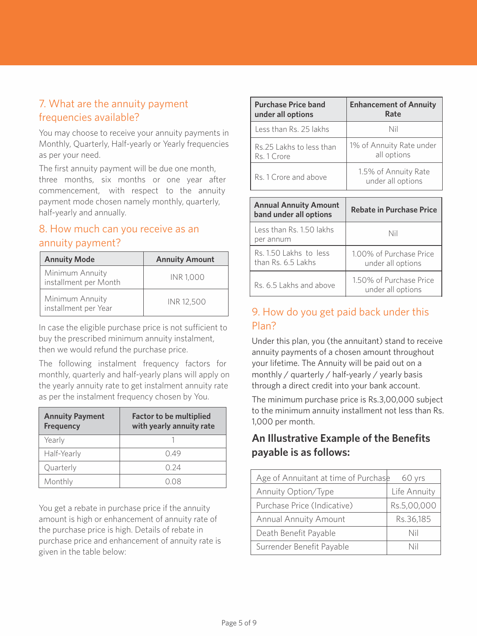#### 7. What are the annuity payment frequencies available?

You may choose to receive your annuity payments in Monthly, Quarterly, Half-yearly or Yearly frequencies as per your need.

The first annuity payment will be due one month, three months, six months or one year after commencement, with respect to the annuity payment mode chosen namely monthly, quarterly, half-yearly and annually.

#### 8. How much can you receive as an annuity payment?

| <b>Annuity Mode</b>                      | <b>Annuity Amount</b> |  |  |
|------------------------------------------|-----------------------|--|--|
| Minimum Annuity<br>installment per Month | <b>INR 1.000</b>      |  |  |
| Minimum Annuity<br>installment per Year  | INR 12.500            |  |  |

In case the eligible purchase price is not sufficient to buy the prescribed minimum annuity instalment, then we would refund the purchase price.

The following instalment frequency factors for monthly, quarterly and half-yearly plans will apply on the yearly annuity rate to get instalment annuity rate as per the instalment frequency chosen by You.

| <b>Annuity Payment</b><br><b>Frequency</b> | <b>Factor to be multiplied</b><br>with yearly annuity rate |  |  |
|--------------------------------------------|------------------------------------------------------------|--|--|
| Yearly                                     |                                                            |  |  |
| Half-Yearly                                | 049                                                        |  |  |
| Quarterly                                  | N 24                                                       |  |  |
| Monthly                                    |                                                            |  |  |

You get a rebate in purchase price if the annuity amount is high or enhancement of annuity rate of the purchase price is high. Details of rebate in purchase price and enhancement of annuity rate is given in the table below:

| <b>Purchase Price band</b> | <b>Enhancement of Annuity</b>             |
|----------------------------|-------------------------------------------|
| under all options          | Rate                                      |
| Less than Rs. 25 lakhs     | Nil                                       |
| Rs 25 Lakhs to less than   | 1% of Annuity Rate under                  |
| Rs. 1 Crore                | all options                               |
| Rs 1 Crore and above       | 1.5% of Annuity Rate<br>under all options |

| <b>Annual Annuity Amount</b><br>band under all options | <b>Rebate in Purchase Price</b>              |  |
|--------------------------------------------------------|----------------------------------------------|--|
| Less than Rs. 1.50 lakhs<br>per annum                  | Nil                                          |  |
| Rs. 1.50 Lakhs to less<br>than Rs. 6.5 Lakhs           | 1.00% of Purchase Price<br>under all options |  |
| Rs 651 akhs and above                                  | 1.50% of Purchase Price<br>under all options |  |

# 9. How do you get paid back under this Plan?

Under this plan, you (the annuitant) stand to receive annuity payments of a chosen amount throughout your lifetime. The Annuity will be paid out on a monthly / quarterly / half-yearly / yearly basis through a direct credit into your bank account.

The minimum purchase price is Rs.3,00,000 subject to the minimum annuity installment not less than Rs. 1,000 per month.

#### **An Illustrative Example of the Benefits payable is as follows:**

| Age of Annuitant at time of Purchase | 60 yrs       |
|--------------------------------------|--------------|
| Annuity Option/Type                  | Life Annuity |
| Purchase Price (Indicative)          | Rs.5,00,000  |
| Annual Annuity Amount                | Rs.36,185    |
| Death Benefit Payable                | Nil          |
| Surrender Benefit Payable            | Nil          |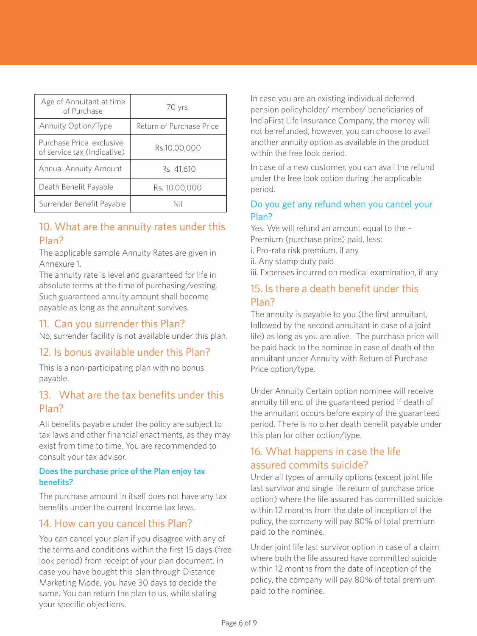| Age of Annuitant at time<br>of Purchase                 | 70 yrs                   |
|---------------------------------------------------------|--------------------------|
| Annuity Option/Type                                     | Return of Purchase Price |
| Purchase Price exclusive<br>of service tax (Indicative) | Rs.10,00,000             |
| Annual Annuity Amount                                   | Rs. 41.610               |
| Death Benefit Payable                                   | Rs. 10.00.000            |
| Surrender Benefit Payable                               |                          |

#### 10. What are the annuity rates under this Plan?

The applicable sample Annuity Rates are given in Annexure 1.

The annuity rate is level and guaranteed for life in absolute terms at the time of purchasing/vesting. Such guaranteed annuity amount shall become payable as long as the annuitant survives.

#### 11. Can you surrender this Plan?

No, surrender facility is not available under this plan.

#### 12. Is bonus available under this Plan?

This is a non-participating plan with no bonus payable.

#### 13. What are the tax benefits under this Plan?

All benefits payable under the policy are subject to tax laws and other financial enactments, as they may exist from time to time. You are recommended to consult your tax advisor.

#### Does the purchase price of the Plan enjoy tax benefits?

The purchase amount in itself does not have any tax benefits under the current Income tax laws.

#### 14. How can you cancel this Plan?

You can cancel your plan if you disagree with any of the terms and conditions within the first 15 days (free look period) from receipt of your plan document. In case you have bought this plan through Distance Marketing Mode, you have 30 days to decide the same. You can return the plan to us, while stating your specific objections.

In case you are an existing individual deferred pension policyholder/ member/ beneficiaries of IndiaFirst Life Insurance Company, the money will not be refunded, however, you can choose to avail another annuity option as available in the product within the free look period.

In case of a new customer, you can avail the refund under the free look option during the applicable period.

#### Do you get any refund when you cancel your Plan?

Yes. We will refund an amount equal to the – Premium (purchase price) paid, less: i. Pro-rata risk premium, if any ii. Any stamp duty paid

iii. Expenses incurred on medical examination, if any

#### 15. Is there a death benefit under this Plan?

The annuity is payable to you (the first annuitant, followed by the second annuitant in case of a joint life) as long as you are alive. The purchase price will be paid back to the nominee in case of death of the annuitant under Annuity with Return of Purchase Price option/type.

Under Annuity Certain option nominee will receive annuity till end of the guaranteed period if death of the annuitant occurs before expiry of the guaranteed period. There is no other death benefit payable under this plan for other option/type.

#### 16. What happens in case the life assured commits suicide?

Under all types of annuity options (except joint life last survivor and single life return of purchase price option) where the life assured has committed suicide within 12 months from the date of inception of the policy, the company will pay 80% of total premium paid to the nominee.

Under joint life last survivor option in case of a claim where both the life assured have committed suicide within 12 months from the date of inception of the policy, the company will pay 80% of total premium paid to the nominee.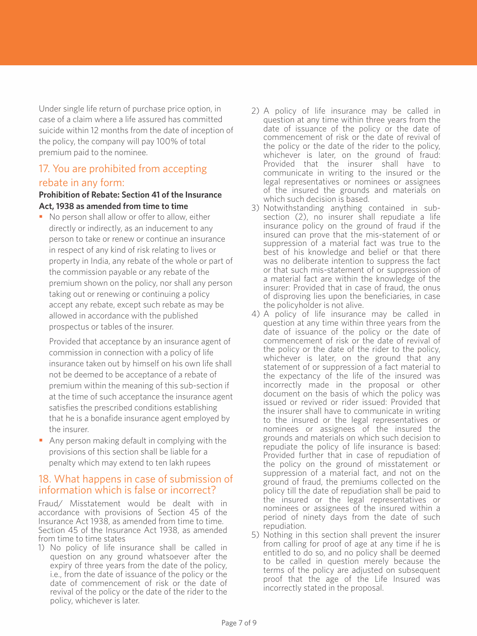Under single life return of purchase price option, in case of a claim where a life assured has committed suicide within 12 months from the date of inception of the policy, the company will pay 100% of total premium paid to the nominee.

## 17. You are prohibited from accepting rebate in any form:

#### **Prohibition of Rebate: Section 41 of the Insurance Act, 1938 as amended from time to time**

• No person shall allow or offer to allow, either directly or indirectly, as an inducement to any person to take or renew or continue an insurance in respect of any kind of risk relating to lives or property in India, any rebate of the whole or part of the commission payable or any rebate of the premium shown on the policy, nor shall any person taking out or renewing or continuing a policy accept any rebate, except such rebate as may be allowed in accordance with the published prospectus or tables of the insurer.

 Provided that acceptance by an insurance agent of commission in connection with a policy of life insurance taken out by himself on his own life shall not be deemed to be acceptance of a rebate of premium within the meaning of this sub-section if at the time of such acceptance the insurance agent satisfies the prescribed conditions establishing that he is a bonafide insurance agent employed by the insurer.

■ Any person making default in complying with the provisions of this section shall be liable for a penalty which may extend to ten lakh rupees

#### 18. What happens in case of submission of information which is false or incorrect?

Fraud/ Misstatement would be dealt with in accordance with provisions of Section 45 of the Insurance Act 1938, as amended from time to time. Section 45 of the Insurance Act 1938, as amended from time to time states

1) No policy of life insurance shall be called in question on any ground whatsoever after the expiry of three years from the date of the policy, i.e., from the date of issuance of the policy or the date of commencement of risk or the date of revival of the policy or the date of the rider to the policy, whichever is later.

- 2) A policy of life insurance may be called in question at any time within three years from the date of issuance of the policy or the date of commencement of risk or the date of revival of the policy or the date of the rider to the policy, whichever is later, on the ground of fraud: Provided that the insurer shall have to communicate in writing to the insured or the legal representatives or nominees or assignees of the insured the grounds and materials on which such decision is based.
- 3) Notwithstanding anything contained in sub-section (2), no insurer shall repudiate a life insurance policy on the ground of fraud if the insured can prove that the mis-statement of or suppression of a material fact was true to the best of his knowledge and belief or that there was no deliberate intention to suppress the fact or that such mis-statement of or suppression of a material fact are within the knowledge of the insurer: Provided that in case of fraud, the onus of disproving lies upon the beneficiaries, in case the policyholder is not alive.
- 4) A policy of life insurance may be called in question at any time within three years from the date of issuance of the policy or the date of commencement of risk or the date of revival of the policy or the date of the rider to the policy, whichever is later, on the ground that any statement of or suppression of a fact material to the expectancy of the life of the insured was incorrectly made in the proposal or other document on the basis of which the policy was issued or revived or rider issued: Provided that the insurer shall have to communicate in writing to the insured or the legal representatives or nominees or assignees of the insured the grounds and materials on which such decision to repudiate the policy of life insurance is based: Provided further that in case of repudiation of the policy on the ground of misstatement or suppression of a material fact, and not on the ground of fraud, the premiums collected on the policy till the date of repudiation shall be paid to the insured or the legal representatives or nominees or assignees of the insured within a period of ninety days from the date of such repudiation.
- 5) Nothing in this section shall prevent the insurer from calling for proof of age at any time if he is entitled to do so, and no policy shall be deemed to be called in question merely because the terms of the policy are adjusted on subsequent proof that the age of the Life Insured was incorrectly stated in the proposal.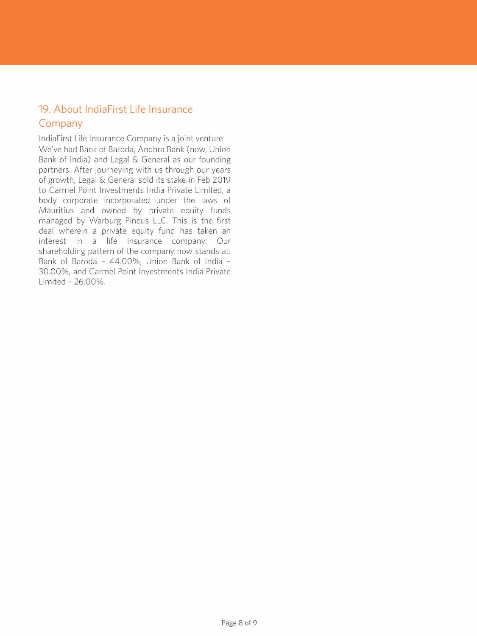# 19. About IndiaFirst Life Insurance Company

IndiaFirst Life Insurance Company is a joint venture We've had Bank of Baroda, Andhra Bank (now, Union Bank of India) and Legal & General as our founding partners. After journeying with us through our years of growth, Legal & General sold its stake in Feb 2019 to Carmel Point Investments India Private Limited, a body corporate incorporated under the laws of Mauritius and owned by private equity funds managed by Warburg Pincus LLC. This is the first deal wherein a private equity fund has taken an interest in a life insurance company. Our shareholding pattern of the company now stands at: Bank of Baroda – 44.00%, Union Bank of India – 30.00%, and Carmel Point Investments India Private Limited – 26.00%.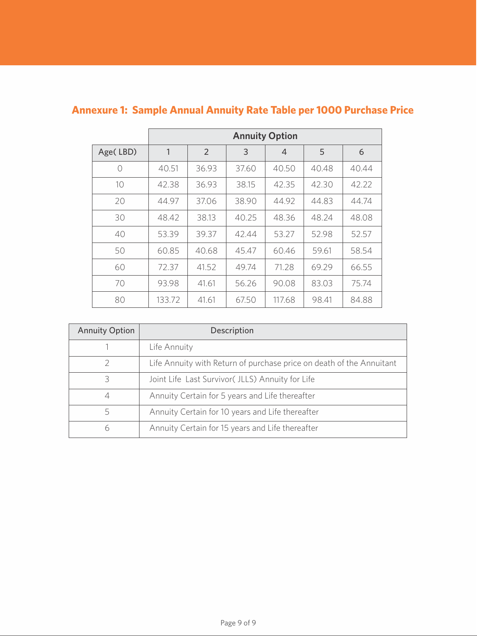|           | <b>Annuity Option</b> |       |       |                |       |       |
|-----------|-----------------------|-------|-------|----------------|-------|-------|
| Age(LBD)  | 1                     | 2     | 3     | $\overline{4}$ | 5     | 6     |
| $\bigcap$ | 40.51                 | 36.93 | 37.60 | 40.50          | 40.48 | 40.44 |
| 10        | 42.38                 | 36.93 | 38.15 | 42.35          | 42.30 | 42.22 |
| 20        | 44.97                 | 37.06 | 38.90 | 44.92          | 44.83 | 44.74 |
| 30        | 48.42                 | 38.13 | 40.25 | 48.36          | 48.24 | 48.08 |
| 40        | 53.39                 | 39.37 | 42.44 | 53.27          | 52.98 | 52.57 |
| 50        | 60.85                 | 40.68 | 45.47 | 60.46          | 59.61 | 58.54 |
| 60        | 72.37                 | 41.52 | 49.74 | 71.28          | 69.29 | 66.55 |
| 70        | 93.98                 | 41.61 | 56.26 | 90.08          | 83.03 | 75.74 |
| 80        | 133.72                | 41.61 | 67.50 | 117.68         | 98.41 | 84.88 |

# **Annexure 1: Sample Annual Annuity Rate Table per 1000 Purchase Price**

| <b>Annuity Option</b> | Description                                                          |
|-----------------------|----------------------------------------------------------------------|
|                       | Life Annuity                                                         |
|                       | Life Annuity with Return of purchase price on death of the Annuitant |
| ς                     | Joint Life Last Survivor( JLLS) Annuity for Life                     |
| 4                     | Annuity Certain for 5 years and Life thereafter                      |
| 5                     | Annuity Certain for 10 years and Life thereafter                     |
| 6                     | Annuity Certain for 15 years and Life thereafter                     |